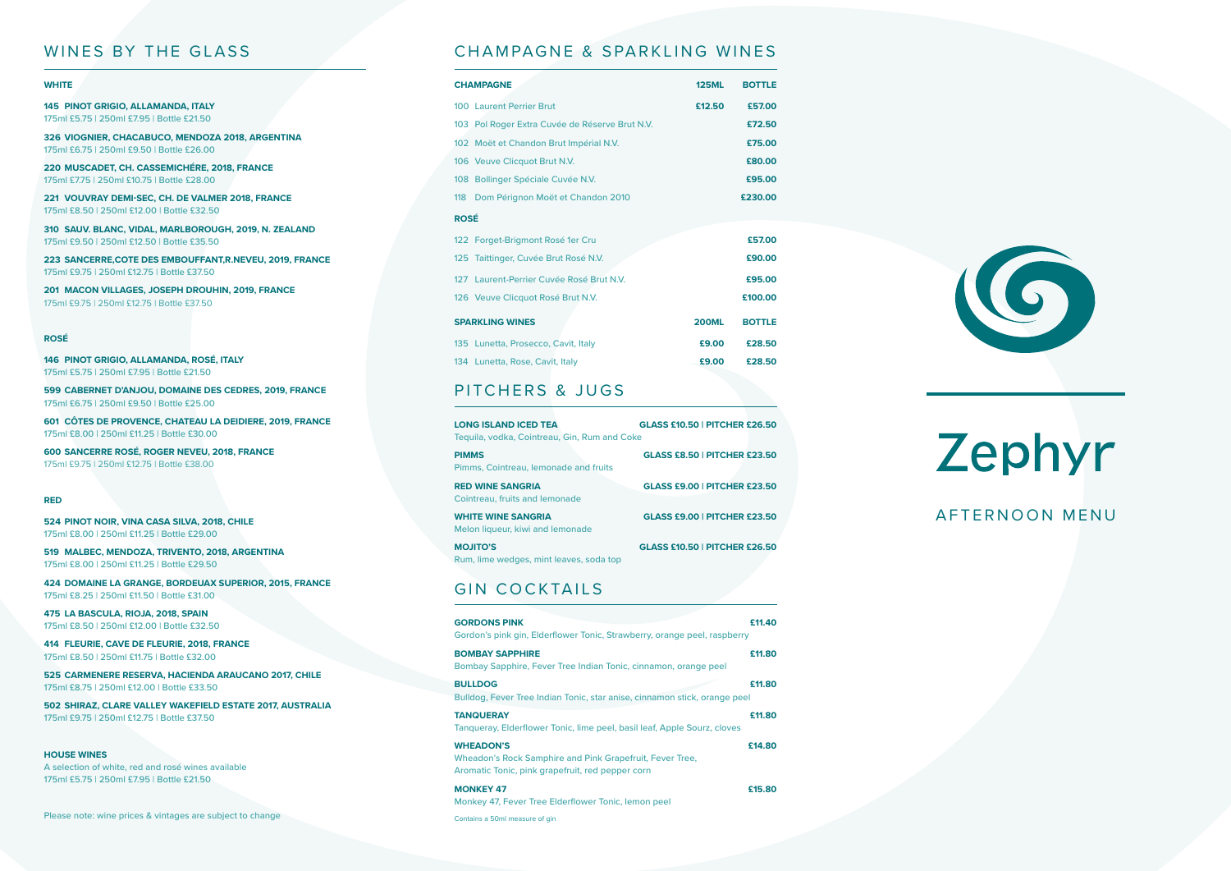# Zephyr AFTERNOON MENU

## WINES BY THE GLASS

## **WHITE**

**145 PINOT GRIGIO, ALLAMANDA, ITALY** 175ml £5.75 | 250ml £7.95 | Bottle £21.50

**326 VIOGNIER, CHACABUCO, MENDOZA 2018, ARGENTINA** 175ml £6.75 | 250ml £9.50 | Bottle £26.00

**220 MUSCADET, CH. CASSEMICHÉRE, 2018, FRANCE** 175ml £7.75 | 250ml £10.75 | Bottle £28.00

**221 VOUVRAY DEMI-SEC, CH. DE VALMER 2018, FRANCE** 175ml £8.50 | 250ml £12.00 | Bottle £32.50

**310 SAUV. BLANC, VIDAL, MARLBOROUGH, 2019, N. ZEALAND** 175ml £9.50 | 250ml £12.50 | Bottle £35.50

**223 SANCERRE,COTE DES EMBOUFFANT,R.NEVEU, 2019, FRANCE** 175ml £9.75 | 250ml £12.75 | Bottle £37.50

**201 MACON VILLAGES, JOSEPH DROUHIN, 2019, FRANCE** 175ml £9.75 | 250ml £12.75 | Bottle £37.50

#### **ROSÉ**

|  | 146 PINOT GRIGIO, ALLAMANDA, ROSE, ITALY  |  |  |
|--|-------------------------------------------|--|--|
|  | 175ml £5.75   250ml £7.95   Bottle £21.50 |  |  |

**599 CABERNET D'ANJOU, DOMAINE DES CEDRES, 2019, FRANCE** 175ml £6.75 | 250ml £9.50 | Bottle £25.00

**601 CÔTES DE PROVENCE, CHATEAU LA DEIDIERE, 2019, FRANCE** 175ml £8.00 | 250ml £11.25 | Bottle £30.00

**600 SANCERRE ROSÉ, ROGER NEVEU, 2018, FRANCE** 175ml £9.75 | 250ml £12.75 | Bottle £38.00

## **RED**

**524 PINOT NOIR, VINA CASA SILVA, 2018, CHILE** 175ml £8.00 | 250ml £11.25 | Bottle £29.00

**519 MALBEC, MENDOZA, TRIVENTO, 2018, ARGENTINA** 175ml £8.00 | 250ml £11.25 | Bottle £29.50

**424 DOMAINE LA GRANGE, BORDEUAX SUPERIOR, 2015, FRANCE** 175ml £8.25 | 250ml £11.50 | Bottle £31.00

**475 LA BASCULA, RIOJA, 2018, SPAIN** 175ml £8.50 | 250ml £12.00 | Bottle £32.50

**414 FLEURIE, CAVE DE FLEURIE, 2018, FRANCE** 175ml £8.50 | 250ml £11.75 | Bottle £32.00

**525 CARMENERE RESERVA, HACIENDA ARAUCANO 2017, CHILE** 175ml £8.75 | 250ml £12.00 | Bottle £33.50

**502 SHIRAZ, CLARE VALLEY WAKEFIELD ESTATE 2017, AUSTRALIA** 175ml £9.75 | 250ml £12.75 | Bottle £37.50

#### **HOUSE WINES**

A selection of white, red and rosé wines available 175ml £5.75 | 250ml £7.95 | Bottle £21.50

Please note: wine prices & vintages are subject to change

## CHAMPAGNE & SPARKLING WINES

| <b>CHAMPAGNE</b>                               | <b>125ML</b> | <b>BOTTLE</b> |
|------------------------------------------------|--------------|---------------|
| <b>100 Laurent Perrier Brut</b>                | £12.50       | £57.00        |
| 103 Pol Roger Extra Cuvée de Réserve Brut N.V. |              | £72.50        |
| 102 Moët et Chandon Brut Impérial N.V.         |              | £75.00        |
| 106 Veuve Clicquot Brut N.V.                   |              | £80.00        |
| 108 Bollinger Spéciale Cuvée N.V.              |              | £95.00        |
| 118<br>Dom Pérignon Moët et Chandon 2010       |              | £230.00       |
| <b>ROSÉ</b>                                    |              |               |
| 122 Forget-Brigmont Rosé 1er Cru               |              | £57.00        |
| 125 Taittinger, Cuvée Brut Rosé N.V.           |              | £90.00        |
| 127 Laurent-Perrier Cuvée Rosé Brut N.V.       |              | £95.00        |
| 126 Veuve Clicquot Rosé Brut N.V.              |              | £100.00       |
| <b>SPARKLING WINES</b>                         | <b>200ML</b> | <b>BOTTLE</b> |
| 135 Lunetta, Prosecco, Cavit, Italy            | £9.00        | £28.50        |
| 134 Lunetta, Rose, Cavit, Italy                | £9.00        | £28.50        |

## PITCHERS & JUGS

| <b>LONG ISLAND ICED TEA</b><br>Tequila, vodka, Cointreau, Gin, Rum and Coke | <b>GLASS £10.50   PITCHER £26.50</b> |
|-----------------------------------------------------------------------------|--------------------------------------|
| <b>PIMMS</b><br>Pimms, Cointreau, lemonade and fruits                       | <b>GLASS £8.50   PITCHER £23.50</b>  |
| <b>RED WINE SANGRIA</b><br>Cointreau, fruits and lemonade                   | <b>GLASS £9.00   PITCHER £23.50</b>  |
| <b>WHITE WINE SANGRIA</b><br>Melon liqueur, kiwi and lemonade               | <b>GLASS £9.00   PITCHER £23.50</b>  |
| <b>MOJITO'S</b><br>Rum, lime wedges, mint leaves, soda top                  | <b>GLASS £10.50   PITCHER £26.50</b> |

## GIN COCKTAILS

| <b>GORDONS PINK</b><br>Gordon's pink gin, Elderflower Tonic, Strawberry, orange peel, raspberry                                  | £11.40 |
|----------------------------------------------------------------------------------------------------------------------------------|--------|
| <b>BOMBAY SAPPHIRE</b><br>Bombay Sapphire, Fever Tree Indian Tonic, cinnamon, orange peel                                        | £11.80 |
| <b>BULLDOG</b><br>Bulldog, Fever Tree Indian Tonic, star anise, cinnamon stick, orange peel                                      | £11.80 |
| <b>TANQUERAY</b><br>Tangueray, Elderflower Tonic, lime peel, basil leaf, Apple Sourz, cloves                                     | £11.80 |
| <b>WHEADON'S</b><br>Wheadon's Rock Samphire and Pink Grapefruit, Fever Tree,<br>Aromatic Tonic, pink grapefruit, red pepper corn | £14.80 |
| <b>MONKEY 47</b><br>Monkey 47, Fever Tree Elderflower Tonic, lemon peel                                                          | £15,80 |
| Contains a 50ml measure of gin                                                                                                   |        |